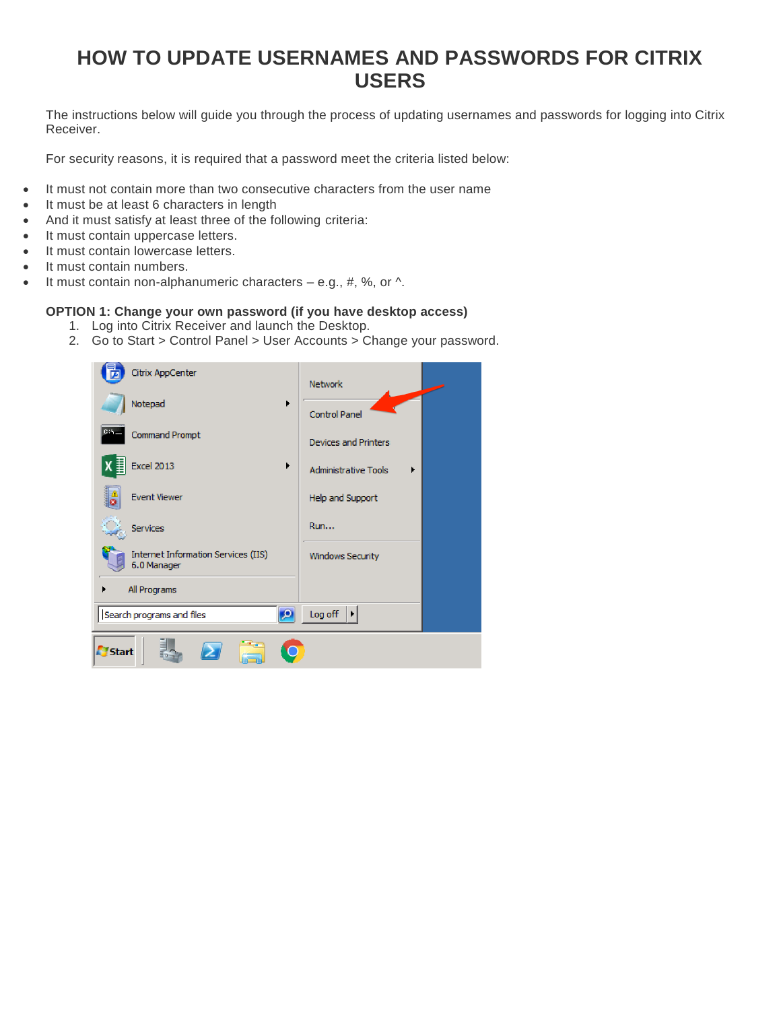## **HOW TO UPDATE USERNAMES AND PASSWORDS FOR CITRIX USERS**

The instructions below will guide you through the process of updating usernames and passwords for logging into Citrix Receiver.

For security reasons, it is required that a password meet the criteria listed below:

- It must not contain more than two consecutive characters from the user name
- It must be at least 6 characters in length
- And it must satisfy at least three of the following criteria:
- It must contain uppercase letters.
- It must contain lowercase letters.
- It must contain numbers.
- It must contain non-alphanumeric characters  $-$  e.g., #, %, or  $\wedge$ .

## **OPTION 1: Change your own password (if you have desktop access)**

- 1. Log into Citrix Receiver and launch the Desktop.
- 2. Go to Start > Control Panel > User Accounts > Change your password.

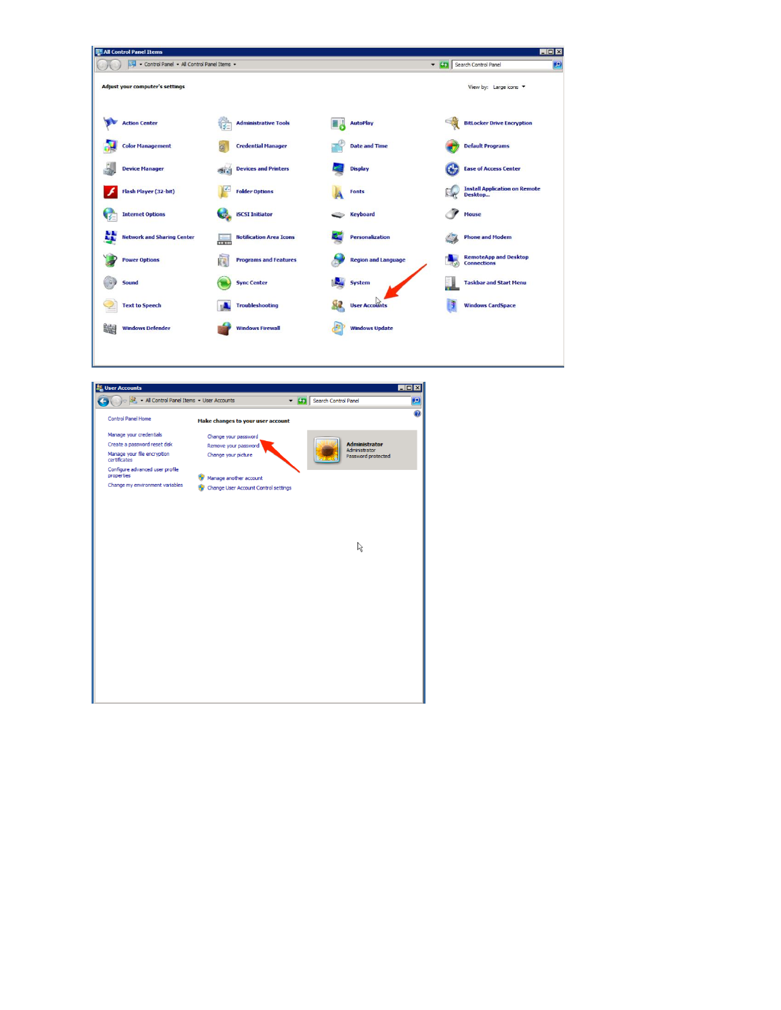| All Control Panel Items                   |                                           |                            | $\blacksquare$ $\blacksquare$ $\times$                    |
|-------------------------------------------|-------------------------------------------|----------------------------|-----------------------------------------------------------|
| Control Panel - All Control Panel Items - |                                           |                            | Search Control Panel                                      |
| <b>Adjust your computer's settings</b>    |                                           |                            | View by: Large icons                                      |
| <b>Action Center</b>                      | <b>Administrative Tools</b>               | <b>AutoPlay</b>            | <b>BitLocker Drive Encryption</b>                         |
| <b>Color Management</b>                   | <b>Credential Manager</b>                 | <b>Date and Time</b>       | <b>Default Programs</b>                                   |
| <b>Device Manager</b>                     | <b>Devices and Printers</b><br><b>STA</b> | <b>Display</b>             | <b>Ease of Access Center</b>                              |
| Flash Player (32-bit)                     | <b>Folder Options</b>                     | <b>Fonts</b>               | <b>Install Application on Remote</b><br>Desktop           |
| <b>Internet Options</b><br><b>VE</b>      | <b>iSCSI</b> Initiator                    | <b>Keyboard</b>            | <b>Mouse</b>                                              |
| <b>Network and Sharing Center</b>         | <b>Notification Area Icons</b><br>0.0001  | <b>Personalization</b>     | <b>Phone and Modem</b>                                    |
| <b>Power Options</b>                      | <b>Programs and Features</b><br>ί.        | <b>Region and Language</b> | <b>RemoteApp and Desktop</b><br><b>Connections</b><br>كرآ |
| Sound                                     | <b>Sync Center</b>                        | System                     | <b>Taskbar and Start Menu</b>                             |
| <b>Text to Speech</b>                     | <b>Troubleshooting</b>                    | <b>User Accounts</b>       | <b>Windows CardSpace</b>                                  |
| 皡<br><b>Windows Defender</b>              | <b>Windows Firewall</b>                   | <b>Windows Update</b>      |                                                           |
|                                           |                                           |                            |                                                           |

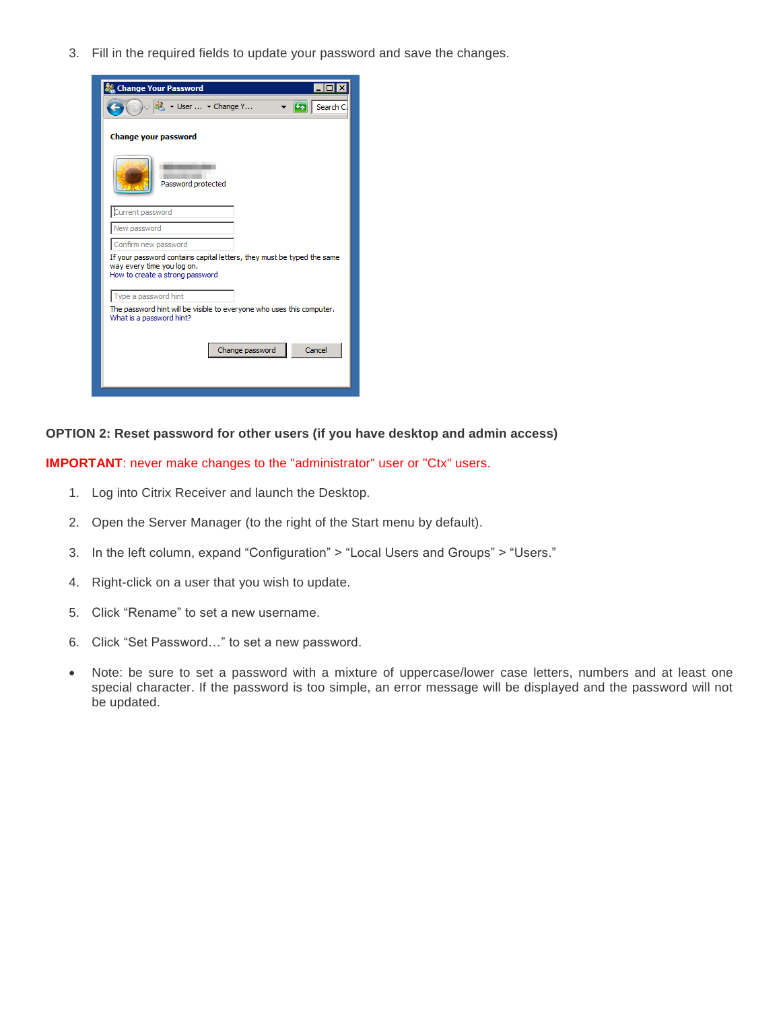3. Fill in the required fields to update your password and save the changes.



## **OPTION 2: Reset password for other users (if you have desktop and admin access)**

**IMPORTANT:** never make changes to the "administrator" user or "Ctx" users.

- 1. Log into Citrix Receiver and launch the Desktop.
- 2. Open the Server Manager (to the right of the Start menu by default).
- 3. In the left column, expand "Configuration" > "Local Users and Groups" > "Users."
- 4. Right-click on a user that you wish to update.
- 5. Click "Rename" to set a new username.
- 6. Click "Set Password…" to set a new password.
- Note: be sure to set a password with a mixture of uppercase/lower case letters, numbers and at least one special character. If the password is too simple, an error message will be displayed and the password will not be updated.